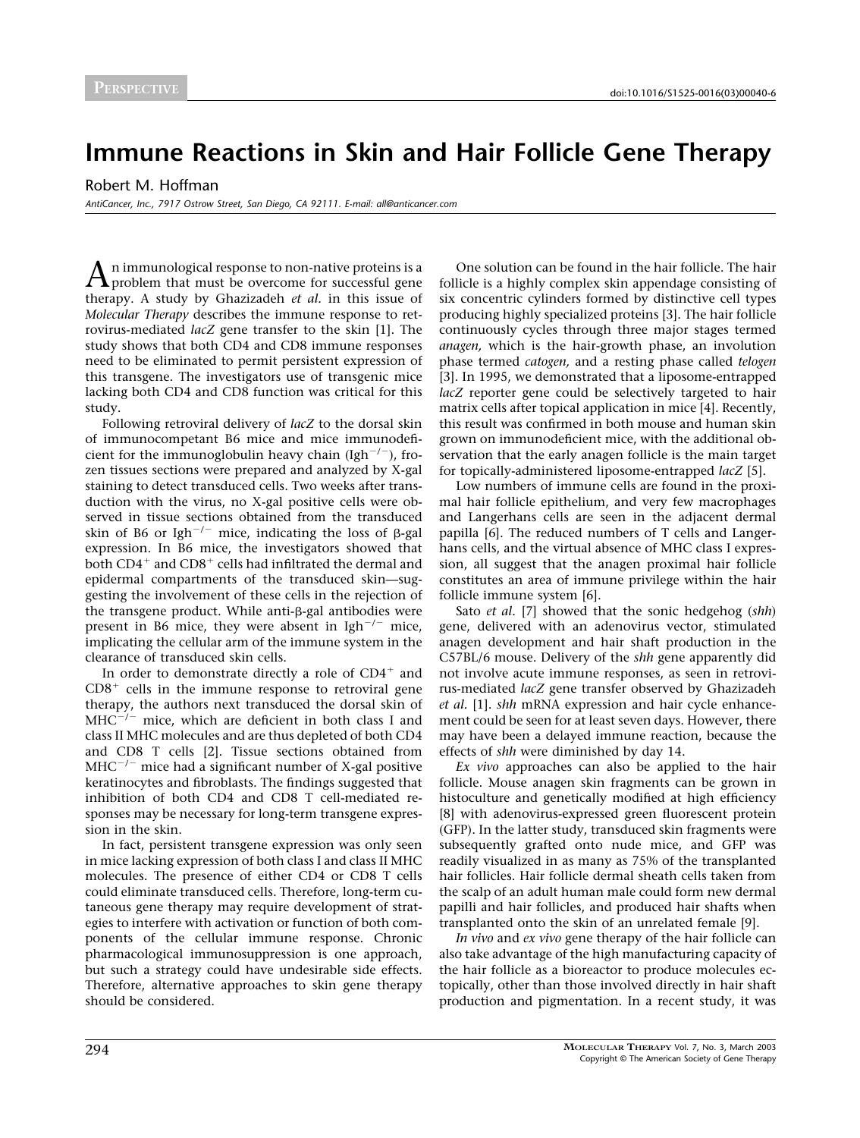## **Immune Reactions in Skin and Hair Follicle Gene Therapy**

Robert M. Hoffman

*AntiCancer, Inc., 7917 Ostrow Street, San Diego, CA 92111. E-mail: all@anticancer.com*

An immunological response to non-native proteins is a problem that must be overcome for successful gene therapy. A study by Ghazizadeh *et al.* in this issue of *Molecular Therapy* describes the immune response to retrovirus-mediated *lacZ* gene transfer to the skin [\[1\]](#page-1-0). The study shows that both CD4 and CD8 immune responses need to be eliminated to permit persistent expression of this transgene. The investigators use of transgenic mice lacking both CD4 and CD8 function was critical for this study.

Following retroviral delivery of *lacZ* to the dorsal skin of immunocompetant B6 mice and mice immunodeficient for the immunoglobulin heavy chain (Igh<sup>-/-</sup>), frozen tissues sections were prepared and analyzed by X-gal staining to detect transduced cells. Two weeks after transduction with the virus, no X-gal positive cells were observed in tissue sections obtained from the transduced skin of B6 or Igh<sup>-/-</sup> mice, indicating the loss of  $\beta$ -gal expression. In B6 mice, the investigators showed that both  $CD4^+$  and  $CD8^+$  cells had infiltrated the dermal and epidermal compartments of the transduced skin—suggesting the involvement of these cells in the rejection of the transgene product. While anti-β-gal antibodies were present in B6 mice, they were absent in  $Igh^{-/-}$  mice, implicating the cellular arm of the immune system in the clearance of transduced skin cells.

In order to demonstrate directly a role of  $CD4^+$  and  $CD8<sup>+</sup>$  cells in the immune response to retroviral gene therapy, the authors next transduced the dorsal skin of  $MHC^{-/-}$  mice, which are deficient in both class I and class II MHC molecules and are thus depleted of both CD4 and CD8 T cells [\[2\].](#page-1-0) Tissue sections obtained from  $MHC^{-/-}$  mice had a significant number of X-gal positive keratinocytes and fibroblasts. The findings suggested that inhibition of both CD4 and CD8 T cell-mediated responses may be necessary for long-term transgene expression in the skin.

In fact, persistent transgene expression was only seen in mice lacking expression of both class I and class II MHC molecules. The presence of either CD4 or CD8 T cells could eliminate transduced cells. Therefore, long-term cutaneous gene therapy may require development of strategies to interfere with activation or function of both components of the cellular immune response. Chronic pharmacological immunosuppression is one approach, but such a strategy could have undesirable side effects. Therefore, alternative approaches to skin gene therapy should be considered.

One solution can be found in the hair follicle. The hair follicle is a highly complex skin appendage consisting of six concentric cylinders formed by distinctive cell types producing highly specialized proteins [\[3\]](#page-1-0). The hair follicle continuously cycles through three major stages termed *anagen,* which is the hair-growth phase, an involution phase termed *catogen,* and a resting phase called *telogen* [\[3\].](#page-1-0) In 1995, we demonstrated that a liposome-entrapped *lacZ* reporter gene could be selectively targeted to hair matrix cells after topical application in mice [\[4\]](#page-1-0). Recently, this result was confirmed in both mouse and human skin grown on immunodeficient mice, with the additional observation that the early anagen follicle is the main target for topically-administered liposome-entrapped *lacZ* [\[5\]](#page-1-0).

Low numbers of immune cells are found in the proximal hair follicle epithelium, and very few macrophages and Langerhans cells are seen in the adjacent dermal papilla [\[6\].](#page-1-0) The reduced numbers of T cells and Langerhans cells, and the virtual absence of MHC class I expression, all suggest that the anagen proximal hair follicle constitutes an area of immune privilege within the hair follicle immune system [\[6\].](#page-1-0)

Sato *et al.* [\[7\]](#page-1-0) showed that the sonic hedgehog (*shh*) gene, delivered with an adenovirus vector, stimulated anagen development and hair shaft production in the C57BL/6 mouse. Delivery of the *shh* gene apparently did not involve acute immune responses, as seen in retrovirus-mediated *lacZ* gene transfer observed by Ghazizadeh *et al.* [\[1\].](#page-1-0) *shh* mRNA expression and hair cycle enhancement could be seen for at least seven days. However, there may have been a delayed immune reaction, because the effects of *shh* were diminished by day 14.

*Ex vivo* approaches can also be applied to the hair follicle. Mouse anagen skin fragments can be grown in histoculture and genetically modified at high efficiency [\[8\]](#page-1-0) with adenovirus-expressed green fluorescent protein (GFP). In the latter study, transduced skin fragments were subsequently grafted onto nude mice, and GFP was readily visualized in as many as 75% of the transplanted hair follicles. Hair follicle dermal sheath cells taken from the scalp of an adult human male could form new dermal papilli and hair follicles, and produced hair shafts when transplanted onto the skin of an unrelated female [\[9\]](#page-1-0).

*In vivo* and *ex vivo* gene therapy of the hair follicle can also take advantage of the high manufacturing capacity of the hair follicle as a bioreactor to produce molecules ectopically, other than those involved directly in hair shaft production and pigmentation. In a recent study, it was